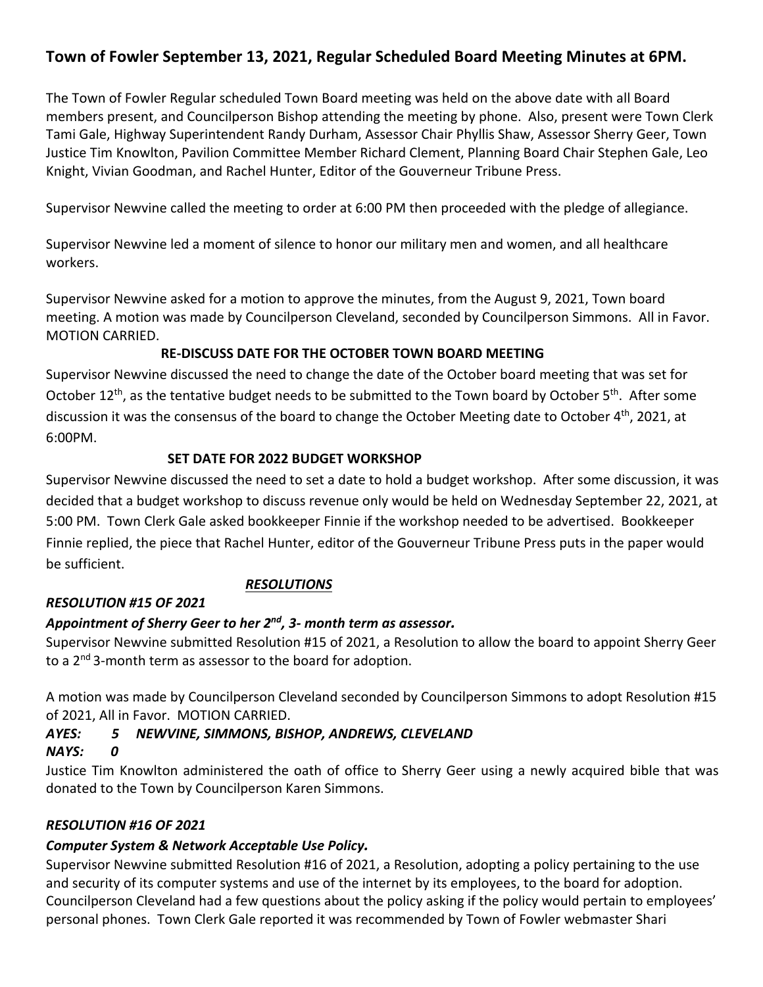# **Town of Fowler September 13, 2021, Regular Scheduled Board Meeting Minutes at 6PM.**

The Town of Fowler Regular scheduled Town Board meeting was held on the above date with all Board members present, and Councilperson Bishop attending the meeting by phone. Also, present were Town Clerk Tami Gale, Highway Superintendent Randy Durham, Assessor Chair Phyllis Shaw, Assessor Sherry Geer, Town Justice Tim Knowlton, Pavilion Committee Member Richard Clement, Planning Board Chair Stephen Gale, Leo Knight, Vivian Goodman, and Rachel Hunter, Editor of the Gouverneur Tribune Press.

Supervisor Newvine called the meeting to order at 6:00 PM then proceeded with the pledge of allegiance.

Supervisor Newvine led a moment of silence to honor our military men and women, and all healthcare workers.

Supervisor Newvine asked for a motion to approve the minutes, from the August 9, 2021, Town board meeting. A motion was made by Councilperson Cleveland, seconded by Councilperson Simmons. All in Favor. MOTION CARRIED.

### **RE-DISCUSS DATE FOR THE OCTOBER TOWN BOARD MEETING**

Supervisor Newvine discussed the need to change the date of the October board meeting that was set for October 12<sup>th</sup>, as the tentative budget needs to be submitted to the Town board by October 5<sup>th</sup>. After some discussion it was the consensus of the board to change the October Meeting date to October  $4^{\text{th}}$ , 2021, at 6:00PM.

### **SET DATE FOR 2022 BUDGET WORKSHOP**

Supervisor Newvine discussed the need to set a date to hold a budget workshop. After some discussion, it was decided that a budget workshop to discuss revenue only would be held on Wednesday September 22, 2021, at 5:00 PM. Town Clerk Gale asked bookkeeper Finnie if the workshop needed to be advertised. Bookkeeper Finnie replied, the piece that Rachel Hunter, editor of the Gouverneur Tribune Press puts in the paper would be sufficient.

# *RESOLUTIONS*

# *RESOLUTION #15 OF 2021*

# *Appointment of Sherry Geer to her 2nd, 3- month term as assessor.*

Supervisor Newvine submitted Resolution #15 of 2021, a Resolution to allow the board to appoint Sherry Geer to a 2<sup>nd</sup> 3-month term as assessor to the board for adoption.

A motion was made by Councilperson Cleveland seconded by Councilperson Simmons to adopt Resolution #15 of 2021, All in Favor. MOTION CARRIED.

# *AYES: 5 NEWVINE, SIMMONS, BISHOP, ANDREWS, CLEVELAND*

### *NAYS: 0*

Justice Tim Knowlton administered the oath of office to Sherry Geer using a newly acquired bible that was donated to the Town by Councilperson Karen Simmons.

# *RESOLUTION #16 OF 2021*

# *Computer System & Network Acceptable Use Policy.*

Supervisor Newvine submitted Resolution #16 of 2021, a Resolution, adopting a policy pertaining to the use and security of its computer systems and use of the internet by its employees, to the board for adoption. Councilperson Cleveland had a few questions about the policy asking if the policy would pertain to employees' personal phones. Town Clerk Gale reported it was recommended by Town of Fowler webmaster Shari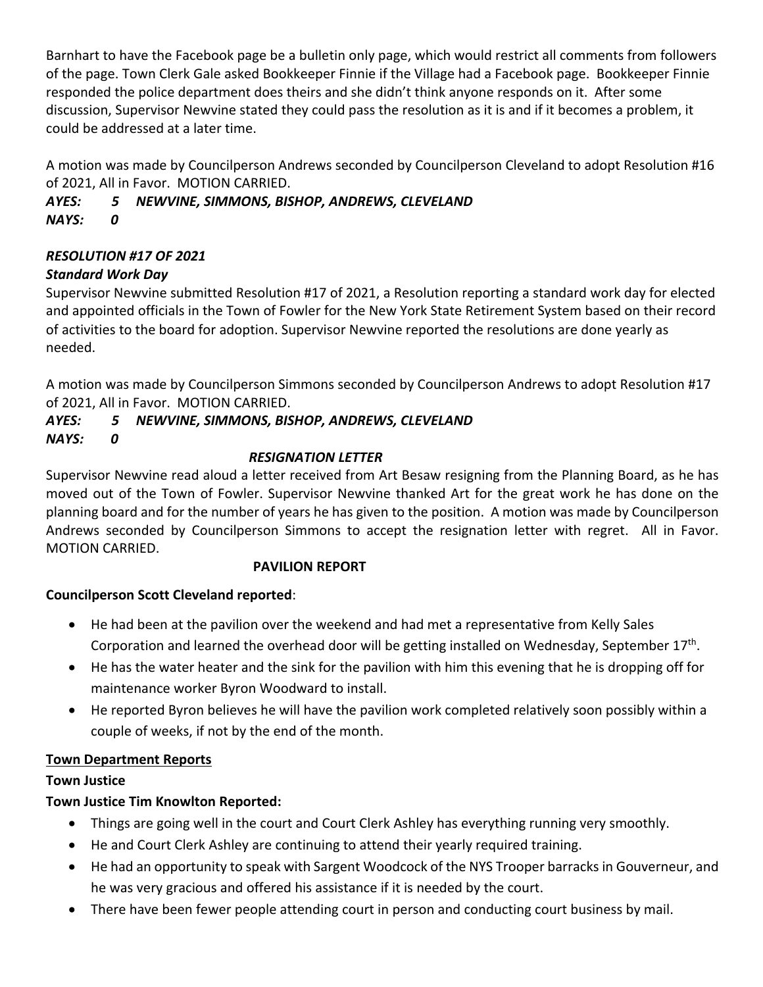Barnhart to have the Facebook page be a bulletin only page, which would restrict all comments from followers of the page. Town Clerk Gale asked Bookkeeper Finnie if the Village had a Facebook page. Bookkeeper Finnie responded the police department does theirs and she didn't think anyone responds on it. After some discussion, Supervisor Newvine stated they could pass the resolution as it is and if it becomes a problem, it could be addressed at a later time.

A motion was made by Councilperson Andrews seconded by Councilperson Cleveland to adopt Resolution #16 of 2021, All in Favor. MOTION CARRIED.

*AYES: 5 NEWVINE, SIMMONS, BISHOP, ANDREWS, CLEVELAND NAYS: 0*

### *RESOLUTION #17 OF 2021*

### *Standard Work Day*

Supervisor Newvine submitted Resolution #17 of 2021, a Resolution reporting a standard work day for elected and appointed officials in the Town of Fowler for the New York State Retirement System based on their record of activities to the board for adoption. Supervisor Newvine reported the resolutions are done yearly as needed.

A motion was made by Councilperson Simmons seconded by Councilperson Andrews to adopt Resolution #17 of 2021, All in Favor. MOTION CARRIED.

#### *AYES: 5 NEWVINE, SIMMONS, BISHOP, ANDREWS, CLEVELAND NAYS: 0*

### *RESIGNATION LETTER*

Supervisor Newvine read aloud a letter received from Art Besaw resigning from the Planning Board, as he has moved out of the Town of Fowler. Supervisor Newvine thanked Art for the great work he has done on the planning board and for the number of years he has given to the position. A motion was made by Councilperson Andrews seconded by Councilperson Simmons to accept the resignation letter with regret. All in Favor. MOTION CARRIED.

### **PAVILION REPORT**

# **Councilperson Scott Cleveland reported**:

- He had been at the pavilion over the weekend and had met a representative from Kelly Sales Corporation and learned the overhead door will be getting installed on Wednesday, September  $17<sup>th</sup>$ .
- He has the water heater and the sink for the pavilion with him this evening that he is dropping off for maintenance worker Byron Woodward to install.
- He reported Byron believes he will have the pavilion work completed relatively soon possibly within a couple of weeks, if not by the end of the month.

### **Town Department Reports**

# **Town Justice**

# **Town Justice Tim Knowlton Reported:**

- Things are going well in the court and Court Clerk Ashley has everything running very smoothly.
- He and Court Clerk Ashley are continuing to attend their yearly required training.
- He had an opportunity to speak with Sargent Woodcock of the NYS Trooper barracks in Gouverneur, and he was very gracious and offered his assistance if it is needed by the court.
- There have been fewer people attending court in person and conducting court business by mail.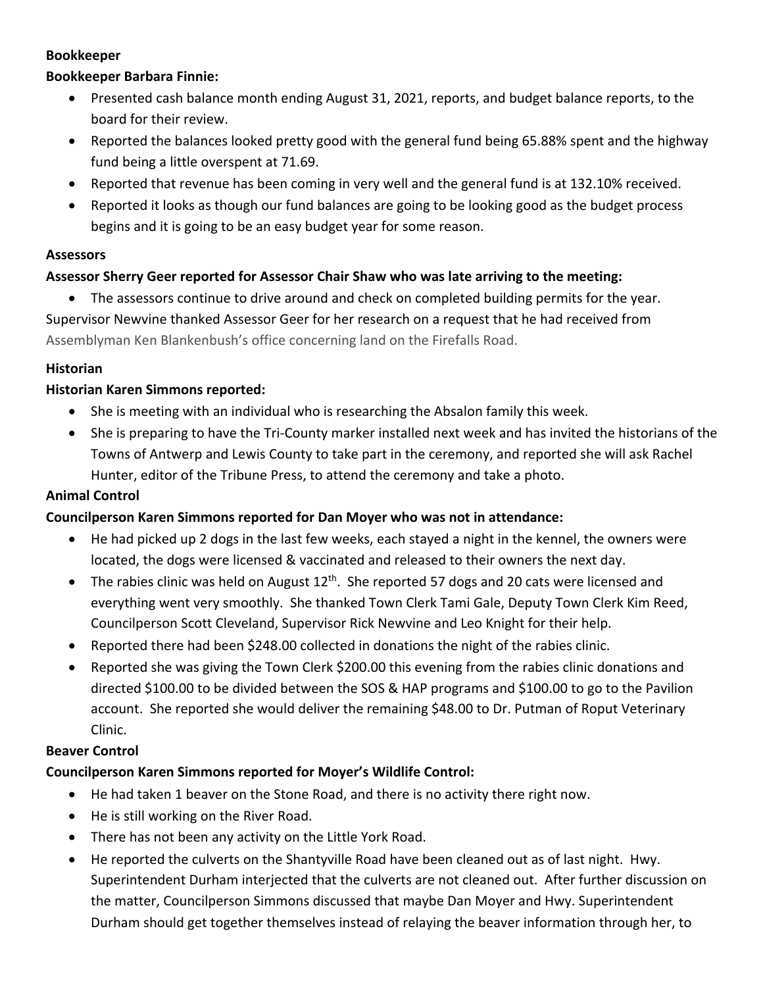#### **Bookkeeper**

### **Bookkeeper Barbara Finnie:**

- Presented cash balance month ending August 31, 2021, reports, and budget balance reports, to the board for their review.
- Reported the balances looked pretty good with the general fund being 65.88% spent and the highway fund being a little overspent at 71.69.
- Reported that revenue has been coming in very well and the general fund is at 132.10% received.
- Reported it looks as though our fund balances are going to be looking good as the budget process begins and it is going to be an easy budget year for some reason.

#### **Assessors**

### **Assessor Sherry Geer reported for Assessor Chair Shaw who was late arriving to the meeting:**

• The assessors continue to drive around and check on completed building permits for the year. Supervisor Newvine thanked Assessor Geer for her research on a request that he had received from Assemblyman Ken Blankenbush's office concerning land on the Firefalls Road.

### **Historian**

### **Historian Karen Simmons reported:**

- She is meeting with an individual who is researching the Absalon family this week.
- She is preparing to have the Tri-County marker installed next week and has invited the historians of the Towns of Antwerp and Lewis County to take part in the ceremony, and reported she will ask Rachel Hunter, editor of the Tribune Press, to attend the ceremony and take a photo.

### **Animal Control**

### **Councilperson Karen Simmons reported for Dan Moyer who was not in attendance:**

- He had picked up 2 dogs in the last few weeks, each stayed a night in the kennel, the owners were located, the dogs were licensed & vaccinated and released to their owners the next day.
- The rabies clinic was held on August  $12<sup>th</sup>$ . She reported 57 dogs and 20 cats were licensed and everything went very smoothly. She thanked Town Clerk Tami Gale, Deputy Town Clerk Kim Reed, Councilperson Scott Cleveland, Supervisor Rick Newvine and Leo Knight for their help.
- Reported there had been \$248.00 collected in donations the night of the rabies clinic.
- Reported she was giving the Town Clerk \$200.00 this evening from the rabies clinic donations and directed \$100.00 to be divided between the SOS & HAP programs and \$100.00 to go to the Pavilion account. She reported she would deliver the remaining \$48.00 to Dr. Putman of Roput Veterinary Clinic.

### **Beaver Control**

# **Councilperson Karen Simmons reported for Moyer's Wildlife Control:**

- He had taken 1 beaver on the Stone Road, and there is no activity there right now.
- He is still working on the River Road.
- There has not been any activity on the Little York Road.
- He reported the culverts on the Shantyville Road have been cleaned out as of last night. Hwy. Superintendent Durham interjected that the culverts are not cleaned out. After further discussion on the matter, Councilperson Simmons discussed that maybe Dan Moyer and Hwy. Superintendent Durham should get together themselves instead of relaying the beaver information through her, to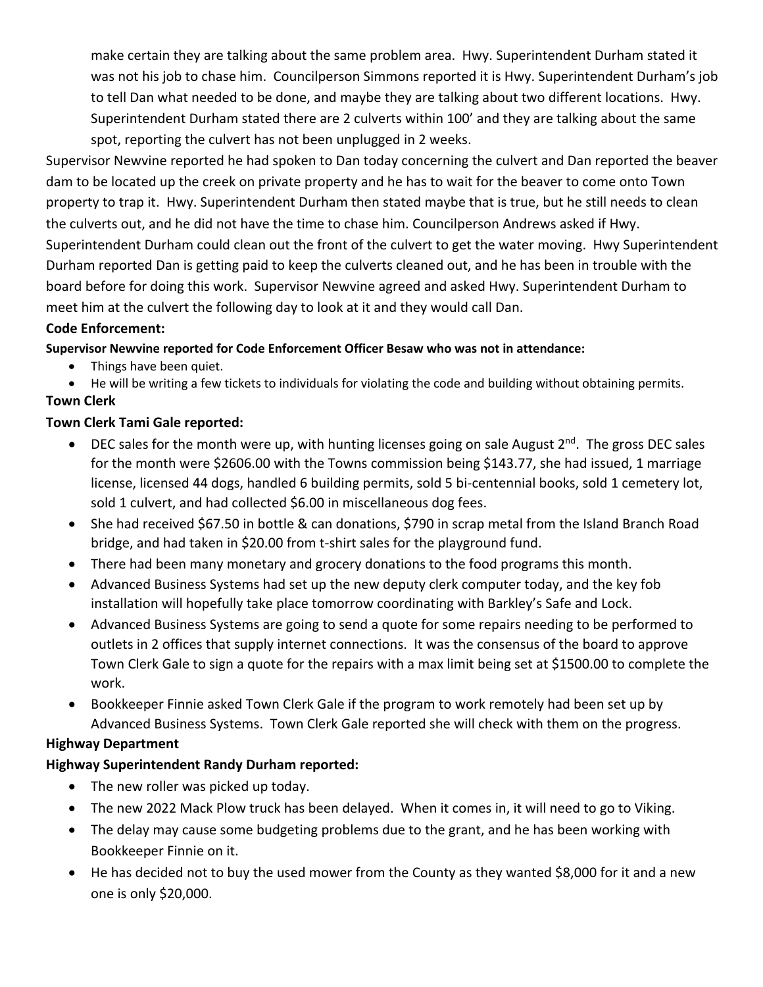make certain they are talking about the same problem area. Hwy. Superintendent Durham stated it was not his job to chase him. Councilperson Simmons reported it is Hwy. Superintendent Durham's job to tell Dan what needed to be done, and maybe they are talking about two different locations. Hwy. Superintendent Durham stated there are 2 culverts within 100' and they are talking about the same spot, reporting the culvert has not been unplugged in 2 weeks.

Supervisor Newvine reported he had spoken to Dan today concerning the culvert and Dan reported the beaver dam to be located up the creek on private property and he has to wait for the beaver to come onto Town property to trap it. Hwy. Superintendent Durham then stated maybe that is true, but he still needs to clean the culverts out, and he did not have the time to chase him. Councilperson Andrews asked if Hwy. Superintendent Durham could clean out the front of the culvert to get the water moving. Hwy Superintendent Durham reported Dan is getting paid to keep the culverts cleaned out, and he has been in trouble with the board before for doing this work. Supervisor Newvine agreed and asked Hwy. Superintendent Durham to meet him at the culvert the following day to look at it and they would call Dan.

### **Code Enforcement:**

**Supervisor Newvine reported for Code Enforcement Officer Besaw who was not in attendance:**

• Things have been quiet.

• He will be writing a few tickets to individuals for violating the code and building without obtaining permits. **Town Clerk** 

# **Town Clerk Tami Gale reported:**

- DEC sales for the month were up, with hunting licenses going on sale August  $2^{nd}$ . The gross DEC sales for the month were \$2606.00 with the Towns commission being \$143.77, she had issued, 1 marriage license, licensed 44 dogs, handled 6 building permits, sold 5 bi-centennial books, sold 1 cemetery lot, sold 1 culvert, and had collected \$6.00 in miscellaneous dog fees.
- She had received \$67.50 in bottle & can donations, \$790 in scrap metal from the Island Branch Road bridge, and had taken in \$20.00 from t-shirt sales for the playground fund.
- There had been many monetary and grocery donations to the food programs this month.
- Advanced Business Systems had set up the new deputy clerk computer today, and the key fob installation will hopefully take place tomorrow coordinating with Barkley's Safe and Lock.
- Advanced Business Systems are going to send a quote for some repairs needing to be performed to outlets in 2 offices that supply internet connections. It was the consensus of the board to approve Town Clerk Gale to sign a quote for the repairs with a max limit being set at \$1500.00 to complete the work.
- Bookkeeper Finnie asked Town Clerk Gale if the program to work remotely had been set up by Advanced Business Systems. Town Clerk Gale reported she will check with them on the progress.

# **Highway Department**

# **Highway Superintendent Randy Durham reported:**

- The new roller was picked up today.
- The new 2022 Mack Plow truck has been delayed. When it comes in, it will need to go to Viking.
- The delay may cause some budgeting problems due to the grant, and he has been working with Bookkeeper Finnie on it.
- He has decided not to buy the used mower from the County as they wanted \$8,000 for it and a new one is only \$20,000.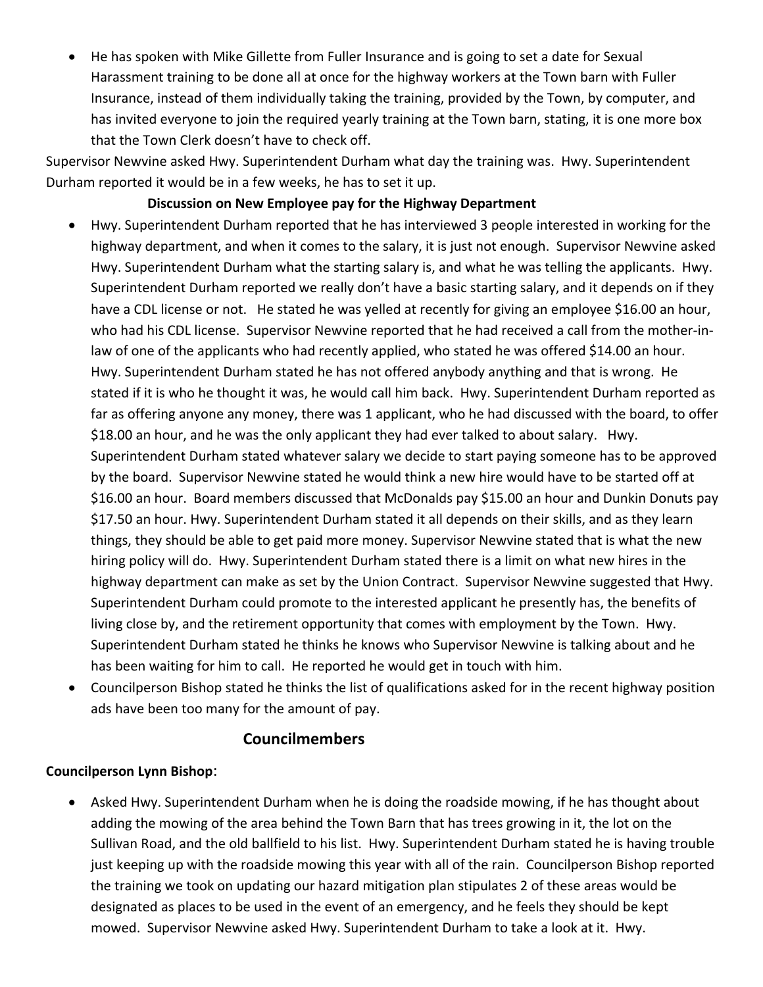• He has spoken with Mike Gillette from Fuller Insurance and is going to set a date for Sexual Harassment training to be done all at once for the highway workers at the Town barn with Fuller Insurance, instead of them individually taking the training, provided by the Town, by computer, and has invited everyone to join the required yearly training at the Town barn, stating, it is one more box that the Town Clerk doesn't have to check off.

Supervisor Newvine asked Hwy. Superintendent Durham what day the training was. Hwy. Superintendent Durham reported it would be in a few weeks, he has to set it up.

### **Discussion on New Employee pay for the Highway Department**

- Hwy. Superintendent Durham reported that he has interviewed 3 people interested in working for the highway department, and when it comes to the salary, it is just not enough. Supervisor Newvine asked Hwy. Superintendent Durham what the starting salary is, and what he was telling the applicants. Hwy. Superintendent Durham reported we really don't have a basic starting salary, and it depends on if they have a CDL license or not. He stated he was yelled at recently for giving an employee \$16.00 an hour, who had his CDL license. Supervisor Newvine reported that he had received a call from the mother-inlaw of one of the applicants who had recently applied, who stated he was offered \$14.00 an hour. Hwy. Superintendent Durham stated he has not offered anybody anything and that is wrong. He stated if it is who he thought it was, he would call him back. Hwy. Superintendent Durham reported as far as offering anyone any money, there was 1 applicant, who he had discussed with the board, to offer \$18.00 an hour, and he was the only applicant they had ever talked to about salary. Hwy. Superintendent Durham stated whatever salary we decide to start paying someone has to be approved by the board. Supervisor Newvine stated he would think a new hire would have to be started off at \$16.00 an hour. Board members discussed that McDonalds pay \$15.00 an hour and Dunkin Donuts pay \$17.50 an hour. Hwy. Superintendent Durham stated it all depends on their skills, and as they learn things, they should be able to get paid more money. Supervisor Newvine stated that is what the new hiring policy will do. Hwy. Superintendent Durham stated there is a limit on what new hires in the highway department can make as set by the Union Contract. Supervisor Newvine suggested that Hwy. Superintendent Durham could promote to the interested applicant he presently has, the benefits of living close by, and the retirement opportunity that comes with employment by the Town. Hwy. Superintendent Durham stated he thinks he knows who Supervisor Newvine is talking about and he has been waiting for him to call. He reported he would get in touch with him.
- Councilperson Bishop stated he thinks the list of qualifications asked for in the recent highway position ads have been too many for the amount of pay.

# **Councilmembers**

### **Councilperson Lynn Bishop**:

• Asked Hwy. Superintendent Durham when he is doing the roadside mowing, if he has thought about adding the mowing of the area behind the Town Barn that has trees growing in it, the lot on the Sullivan Road, and the old ballfield to his list. Hwy. Superintendent Durham stated he is having trouble just keeping up with the roadside mowing this year with all of the rain. Councilperson Bishop reported the training we took on updating our hazard mitigation plan stipulates 2 of these areas would be designated as places to be used in the event of an emergency, and he feels they should be kept mowed. Supervisor Newvine asked Hwy. Superintendent Durham to take a look at it. Hwy.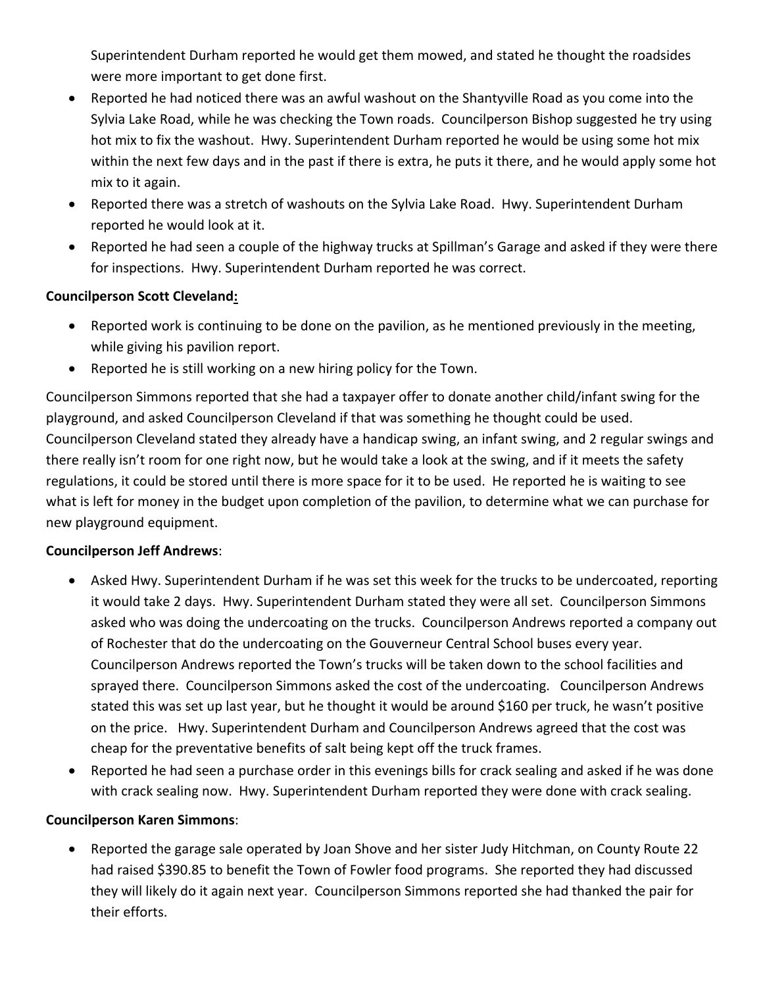Superintendent Durham reported he would get them mowed, and stated he thought the roadsides were more important to get done first.

- Reported he had noticed there was an awful washout on the Shantyville Road as you come into the Sylvia Lake Road, while he was checking the Town roads. Councilperson Bishop suggested he try using hot mix to fix the washout. Hwy. Superintendent Durham reported he would be using some hot mix within the next few days and in the past if there is extra, he puts it there, and he would apply some hot mix to it again.
- Reported there was a stretch of washouts on the Sylvia Lake Road. Hwy. Superintendent Durham reported he would look at it.
- Reported he had seen a couple of the highway trucks at Spillman's Garage and asked if they were there for inspections. Hwy. Superintendent Durham reported he was correct.

### **Councilperson Scott Cleveland:**

- Reported work is continuing to be done on the pavilion, as he mentioned previously in the meeting, while giving his pavilion report.
- Reported he is still working on a new hiring policy for the Town.

Councilperson Simmons reported that she had a taxpayer offer to donate another child/infant swing for the playground, and asked Councilperson Cleveland if that was something he thought could be used. Councilperson Cleveland stated they already have a handicap swing, an infant swing, and 2 regular swings and there really isn't room for one right now, but he would take a look at the swing, and if it meets the safety regulations, it could be stored until there is more space for it to be used. He reported he is waiting to see what is left for money in the budget upon completion of the pavilion, to determine what we can purchase for new playground equipment.

# **Councilperson Jeff Andrews**:

- Asked Hwy. Superintendent Durham if he was set this week for the trucks to be undercoated, reporting it would take 2 days. Hwy. Superintendent Durham stated they were all set. Councilperson Simmons asked who was doing the undercoating on the trucks. Councilperson Andrews reported a company out of Rochester that do the undercoating on the Gouverneur Central School buses every year. Councilperson Andrews reported the Town's trucks will be taken down to the school facilities and sprayed there. Councilperson Simmons asked the cost of the undercoating. Councilperson Andrews stated this was set up last year, but he thought it would be around \$160 per truck, he wasn't positive on the price. Hwy. Superintendent Durham and Councilperson Andrews agreed that the cost was cheap for the preventative benefits of salt being kept off the truck frames.
- Reported he had seen a purchase order in this evenings bills for crack sealing and asked if he was done with crack sealing now. Hwy. Superintendent Durham reported they were done with crack sealing.

### **Councilperson Karen Simmons**:

• Reported the garage sale operated by Joan Shove and her sister Judy Hitchman, on County Route 22 had raised \$390.85 to benefit the Town of Fowler food programs. She reported they had discussed they will likely do it again next year. Councilperson Simmons reported she had thanked the pair for their efforts.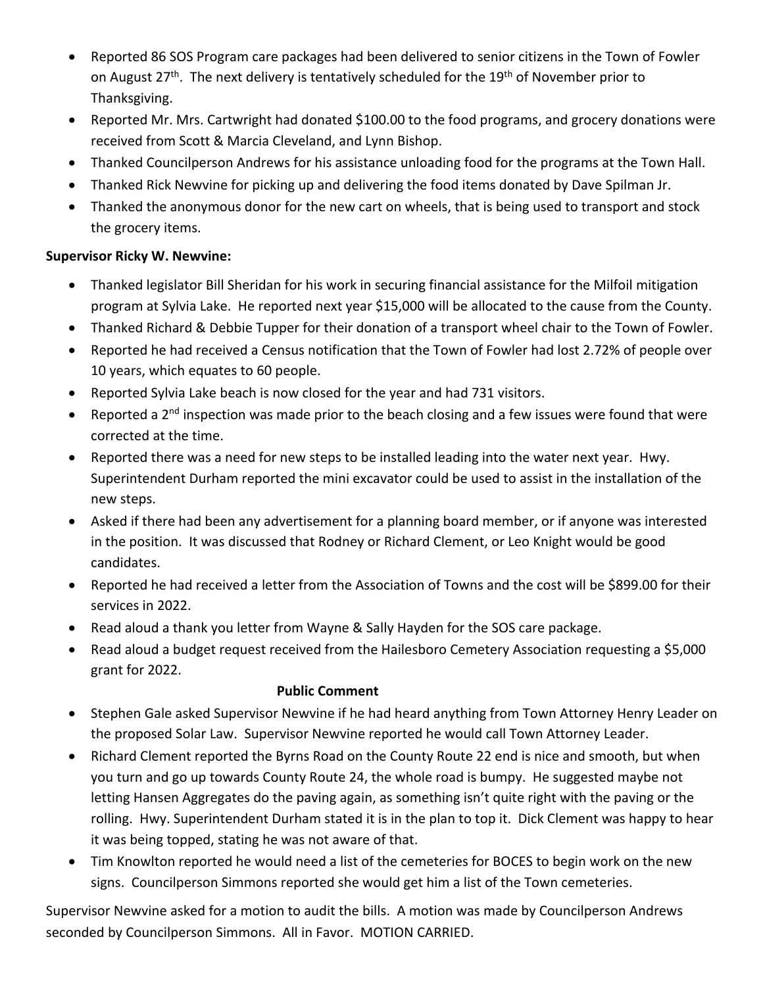- Reported 86 SOS Program care packages had been delivered to senior citizens in the Town of Fowler on August  $27<sup>th</sup>$ . The next delivery is tentatively scheduled for the 19<sup>th</sup> of November prior to Thanksgiving.
- Reported Mr. Mrs. Cartwright had donated \$100.00 to the food programs, and grocery donations were received from Scott & Marcia Cleveland, and Lynn Bishop.
- Thanked Councilperson Andrews for his assistance unloading food for the programs at the Town Hall.
- Thanked Rick Newvine for picking up and delivering the food items donated by Dave Spilman Jr.
- Thanked the anonymous donor for the new cart on wheels, that is being used to transport and stock the grocery items.

### **Supervisor Ricky W. Newvine:**

- Thanked legislator Bill Sheridan for his work in securing financial assistance for the Milfoil mitigation program at Sylvia Lake. He reported next year \$15,000 will be allocated to the cause from the County.
- Thanked Richard & Debbie Tupper for their donation of a transport wheel chair to the Town of Fowler.
- Reported he had received a Census notification that the Town of Fowler had lost 2.72% of people over 10 years, which equates to 60 people.
- Reported Sylvia Lake beach is now closed for the year and had 731 visitors.
- Reported a 2<sup>nd</sup> inspection was made prior to the beach closing and a few issues were found that were corrected at the time.
- Reported there was a need for new steps to be installed leading into the water next year. Hwy. Superintendent Durham reported the mini excavator could be used to assist in the installation of the new steps.
- Asked if there had been any advertisement for a planning board member, or if anyone was interested in the position. It was discussed that Rodney or Richard Clement, or Leo Knight would be good candidates.
- Reported he had received a letter from the Association of Towns and the cost will be \$899.00 for their services in 2022.
- Read aloud a thank you letter from Wayne & Sally Hayden for the SOS care package.
- Read aloud a budget request received from the Hailesboro Cemetery Association requesting a \$5,000 grant for 2022.

### **Public Comment**

- Stephen Gale asked Supervisor Newvine if he had heard anything from Town Attorney Henry Leader on the proposed Solar Law. Supervisor Newvine reported he would call Town Attorney Leader.
- Richard Clement reported the Byrns Road on the County Route 22 end is nice and smooth, but when you turn and go up towards County Route 24, the whole road is bumpy. He suggested maybe not letting Hansen Aggregates do the paving again, as something isn't quite right with the paving or the rolling. Hwy. Superintendent Durham stated it is in the plan to top it. Dick Clement was happy to hear it was being topped, stating he was not aware of that.
- Tim Knowlton reported he would need a list of the cemeteries for BOCES to begin work on the new signs. Councilperson Simmons reported she would get him a list of the Town cemeteries.

Supervisor Newvine asked for a motion to audit the bills. A motion was made by Councilperson Andrews seconded by Councilperson Simmons. All in Favor. MOTION CARRIED.